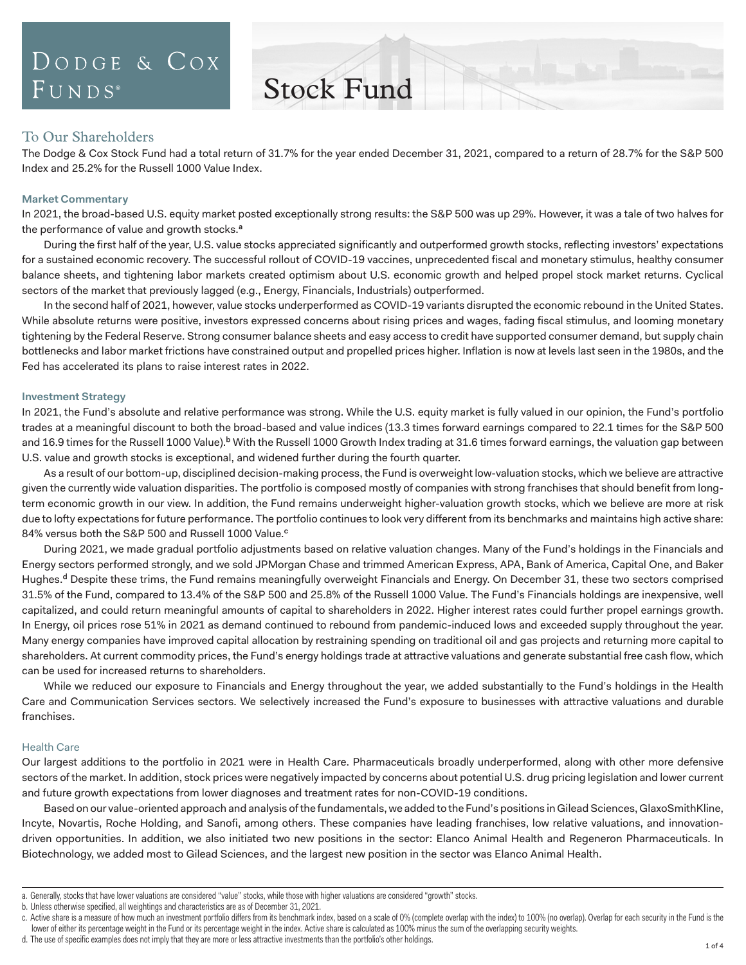# DODGE & COX  $FUNDS^{\circ}$

Stock Fund

# To Our Shareholders

The Dodge & Cox Stock Fund had a total return of 31.7% for the year ended December 31, 2021, compared to a return of 28.7% for the S&P 500 Index and 25.2% for the Russell 1000 Value Index.

# **Market Commentary**

In 2021, the broad-based U.S. equity market posted exceptionally strong results: the S&P 500 was up 29%. However, it was a tale of two halves for the performance of value and growth stocks.<sup>a</sup>

During the first half of the year, U.S. value stocks appreciated significantly and outperformed growth stocks, reflecting investors' expectations for a sustained economic recovery. The successful rollout of COVID-19 vaccines, unprecedented fiscal and monetary stimulus, healthy consumer balance sheets, and tightening labor markets created optimism about U.S. economic growth and helped propel stock market returns. Cyclical sectors of the market that previously lagged (e.g., Energy, Financials, Industrials) outperformed.

In the second half of 2021, however, value stocks underperformed as COVID-19 variants disrupted the economic rebound in the United States. While absolute returns were positive, investors expressed concerns about rising prices and wages, fading fiscal stimulus, and looming monetary tightening by the Federal Reserve. Strong consumer balance sheets and easy access to credit have supported consumer demand, but supply chain bottlenecks and labor market frictions have constrained output and propelled prices higher. Inflation is now at levels last seen in the 1980s, and the Fed has accelerated its plans to raise interest rates in 2022.

# **Investment Strategy**

In 2021, the Fund's absolute and relative performance was strong. While the U.S. equity market is fully valued in our opinion, the Fund's portfolio trades at a meaningful discount to both the broad-based and value indices (13.3 times forward earnings compared to 22.1 times for the S&P 500 and 16.9 times for the Russell 1000 Value).<sup>b</sup> With the Russell 1000 Growth Index trading at 31.6 times forward earnings, the valuation gap between U.S. value and growth stocks is exceptional, and widened further during the fourth quarter.

As a result of our bottom-up, disciplined decision-making process, the Fund is overweight low-valuation stocks, which we believe are attractive given the currently wide valuation disparities. The portfolio is composed mostly of companies with strong franchises that should benefit from longterm economic growth in our view. In addition, the Fund remains underweight higher-valuation growth stocks, which we believe are more at risk due to lofty expectations for future performance. The portfolio continues to look very different from its benchmarks and maintains high active share: 84% versus both the S&P 500 and Russell 1000 Value.<sup>c</sup>

During 2021, we made gradual portfolio adjustments based on relative valuation changes. Many of the Fund's holdings in the Financials and Energy sectors performed strongly, and we sold JPMorgan Chase and trimmed American Express, APA, Bank of America, Capital One, and Baker Hughes.<sup>d</sup> Despite these trims, the Fund remains meaningfully overweight Financials and Energy. On December 31, these two sectors comprised 31.5% of the Fund, compared to 13.4% of the S&P 500 and 25.8% of the Russell 1000 Value. The Fund's Financials holdings are inexpensive, well capitalized, and could return meaningful amounts of capital to shareholders in 2022. Higher interest rates could further propel earnings growth. In Energy, oil prices rose 51% in 2021 as demand continued to rebound from pandemic-induced lows and exceeded supply throughout the year. Many energy companies have improved capital allocation by restraining spending on traditional oil and gas projects and returning more capital to shareholders. At current commodity prices, the Fund's energy holdings trade at attractive valuations and generate substantial free cash flow, which can be used for increased returns to shareholders.

While we reduced our exposure to Financials and Energy throughout the year, we added substantially to the Fund's holdings in the Health Care and Communication Services sectors. We selectively increased the Fund's exposure to businesses with attractive valuations and durable franchises.

# Health Care

Our largest additions to the portfolio in 2021 were in Health Care. Pharmaceuticals broadly underperformed, along with other more defensive sectors of the market. In addition, stock prices were negatively impacted by concerns about potential U.S. drug pricing legislation and lower current and future growth expectations from lower diagnoses and treatment rates for non-COVID-19 conditions.

Based on our value-oriented approach and analysis of the fundamentals, we added to the Fund's positions in Gilead Sciences, GlaxoSmithKline, Incyte, Novartis, Roche Holding, and Sanofi, among others. These companies have leading franchises, low relative valuations, and innovationdriven opportunities. In addition, we also initiated two new positions in the sector: Elanco Animal Health and Regeneron Pharmaceuticals. In Biotechnology, we added most to Gilead Sciences, and the largest new position in the sector was Elanco Animal Health.

b. Unless otherwise specified, all weightings and characteristics are as of December 31, 2021.

a. Generally, stocks that have lower valuations are considered "value" stocks, while those with higher valuations are considered "growth" stocks.

c. Active share is a measure of how much an investment portfolio differs from its benchmark index, based on a scale of 0% (complete overlap with the index) to 100% (no overlap). Overlap for each security in the Fund is the lower of either its percentage weight in the Fund or its percentage weight in the index. Active share is calculated as 100% minus the sum of the overlapping security weights.

d. The use of specific examples does not imply that they are more or less attractive investments than the portfolio's other holdings.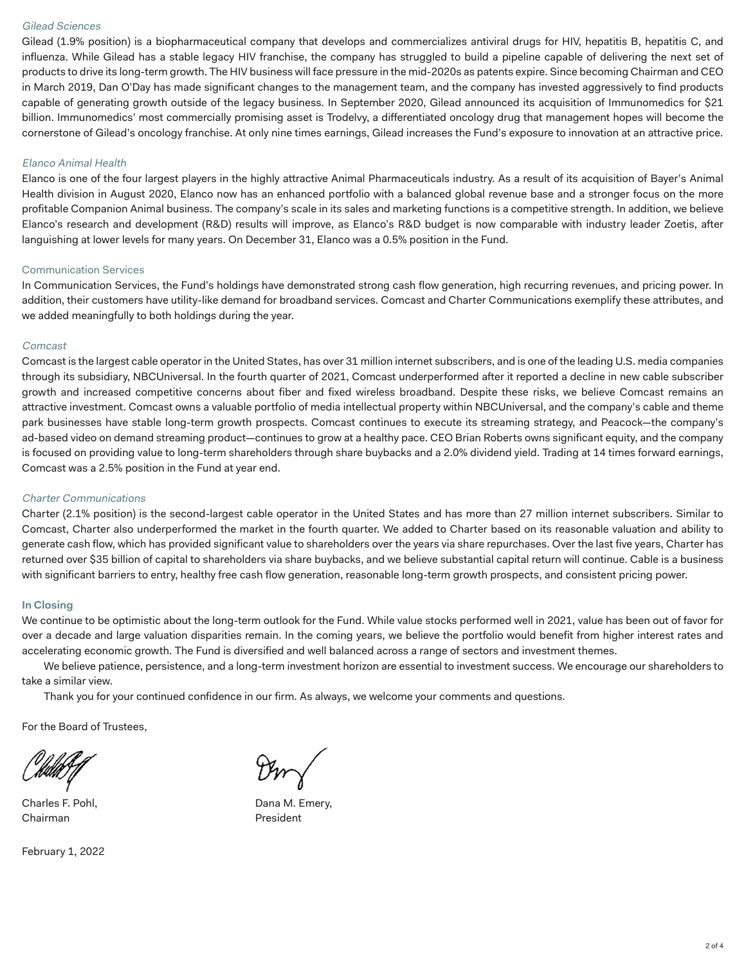# Gilead Sciences

Gilead (1.9% position) is a biopharmaceutical company that develops and commercializes antiviral drugs for HIV, hepatitis B, hepatitis C, and influenza. While Gilead has a stable legacy HIV franchise, the company has struggled to build a pipeline capable of delivering the next set of products to drive its long-term growth. The HIV business will face pressure in the mid-2020s as patents expire. Since becoming Chairman and CEO in March 2019, Dan O'Day has made significant changes to the management team, and the company has invested aggressively to find products capable of generating growth outside of the legacy business. In September 2020, Gilead announced its acquisition of Immunomedics for \$21 billion. Immunomedics' most commercially promising asset is Trodelvy, a differentiated oncology drug that management hopes will become the cornerstone of Gilead's oncology franchise. At only nine times earnings, Gilead increases the Fund's exposure to innovation at an attractive price.

# Elanco Animal Health

Elanco is one of the four largest players in the highly attractive Animal Pharmaceuticals industry. As a result of its acquisition of Bayer's Animal Health division in August 2020, Elanco now has an enhanced portfolio with a balanced global revenue base and a stronger focus on the more profitable Companion Animal business. The company's scale in its sales and marketing functions is a competitive strength. In addition, we believe Elanco's research and development (R&D) results will improve, as Elanco's R&D budget is now comparable with industry leader Zoetis, after languishing at lower levels for many years. On December 31, Elanco was a 0.5% position in the Fund.

# Communication Services

In Communication Services, the Fund's holdings have demonstrated strong cash flow generation, high recurring revenues, and pricing power. In addition, their customers have utility-like demand for broadband services. Comcast and Charter Communications exemplify these attributes, and we added meaningfully to both holdings during the year.

# Comcast

Comcast is the largest cable operator in the United States, has over 31 million internet subscribers, and is one of the leading U.S. media companies through its subsidiary, NBCUniversal. In the fourth quarter of 2021, Comcast underperformed after it reported a decline in new cable subscriber growth and increased competitive concerns about fiber and fixed wireless broadband. Despite these risks, we believe Comcast remains an attractive investment. Comcast owns a valuable portfolio of media intellectual property within NBCUniversal, and the company's cable and theme park businesses have stable long-term growth prospects. Comcast continues to execute its streaming strategy, and Peacock—the company's ad-based video on demand streaming product—continues to grow at a healthy pace. CEO Brian Roberts owns significant equity, and the company is focused on providing value to long-term shareholders through share buybacks and a 2.0% dividend yield. Trading at 14 times forward earnings, Comcast was a 2.5% position in the Fund at year end.

# Charter Communications

Charter (2.1% position) is the second-largest cable operator in the United States and has more than 27 million internet subscribers. Similar to Comcast, Charter also underperformed the market in the fourth quarter. We added to Charter based on its reasonable valuation and ability to generate cash flow, which has provided significant value to shareholders over the years via share repurchases. Over the last five years, Charter has returned over \$35 billion of capital to shareholders via share buybacks, and we believe substantial capital return will continue. Cable is a business with significant barriers to entry, healthy free cash flow generation, reasonable long-term growth prospects, and consistent pricing power.

# **In Closing**

We continue to be optimistic about the long-term outlook for the Fund. While value stocks performed well in 2021, value has been out of favor for over a decade and large valuation disparities remain. In the coming years, we believe the portfolio would benefit from higher interest rates and accelerating economic growth. The Fund is diversified and well balanced across a range of sectors and investment themes.

We believe patience, persistence, and a long-term investment horizon are essential to investment success. We encourage our shareholders to take a similar view.

Thank you for your continued confidence in our firm. As always, we welcome your comments and questions.

For the Board of Trustees,

Charles F. Pohl, **Dana M. Emery,** Chairman **President** 

February 1, 2022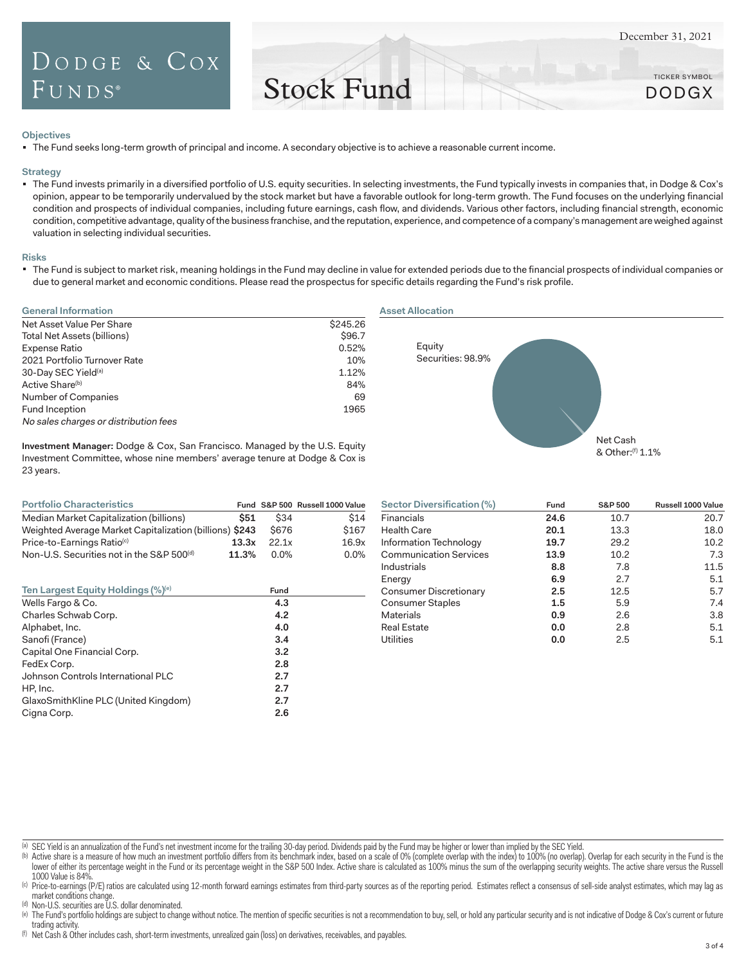TICKER SYMBOL DODGX

# Stock Fund

#### **Objectives**

The Fund seeks long-term growth of principal and income. A secondary objective is to achieve a reasonable current income.

### **Strategy**

The Fund invests primarily in a diversified portfolio of U.S. equity securities. In selecting investments, the Fund typically invests in companies that, in Dodge & Cox's opinion, appear to be temporarily undervalued by the stock market but have a favorable outlook for long-term growth. The Fund focuses on the underlying financial condition and prospects of individual companies, including future earnings, cash flow, and dividends. Various other factors, including financial strength, economic condition, competitive advantage, quality of the business franchise, and the reputation, experience, and competence of a company's management are weighed against valuation in selecting individual securities.

#### **Risks**

" The Fund is subject to market risk, meaning holdings in the Fund may decline in value for extended periods due to the financial prospects of individual companies or due to general market and economic conditions. Please read the prospectus for specific details regarding the Fund's risk profile.

| <b>General Information</b>            |          |
|---------------------------------------|----------|
| Net Asset Value Per Share             | \$245.26 |
| Total Net Assets (billions)           | \$96.7   |
| Expense Ratio                         | 0.52%    |
| 2021 Portfolio Turnover Rate          | 10%      |
| 30-Day SEC Yield <sup>(a)</sup>       | 1.12%    |
| Active Share <sup>(b)</sup>           | 84%      |
| Number of Companies                   | 69       |
| Fund Inception                        | 1965     |
| No sales charges or distribution fees |          |



**Investment Manager:** Dodge & Cox, San Francisco. Managed by the U.S. Equity Investment Committee, whose nine members' average tenure at Dodge & Cox is 23 years.

| <b>Portfolio Characteristics</b>                        |       |             | Fund S&P 500 Russell 1000 Value |
|---------------------------------------------------------|-------|-------------|---------------------------------|
| Median Market Capitalization (billions)                 | \$51  | \$34        | \$14                            |
| Weighted Average Market Capitalization (billions) \$243 |       | \$676       | \$167                           |
| Price-to-Earnings Ratio <sup>(c)</sup>                  | 13.3x | 22.1x       | 16.9x                           |
| Non-U.S. Securities not in the S&P 500 <sup>(d)</sup>   | 11.3% | <u>በ በ%</u> | $0.0\%$                         |

| Fund | <b>S&amp;P 500</b> | Russell 1000 Value |
|------|--------------------|--------------------|
| 24.6 | 10.7               | 20.7               |
| 20.1 | 13.3               | 18.0               |
| 19.7 | 29.2               | 10.2               |
| 13.9 | 10.2               | 7.3                |
| 8.8  | 7.8                | 11.5               |
| 6.9  | 2.7                | 5.1                |
| 2.5  | 12.5               | 5.7                |
| 1.5  | 5.9                | 7.4                |
| 0.9  | 2.6                | 3.8                |
| 0.0  | 2.8                | 5.1                |
| 0.0  | 2.5                | 5.1                |
|      |                    |                    |

(a) SEC Yield is an annualization of the Fund's net investment income for the trailing 30-day period. Dividends paid by the Fund may be higher or lower than implied by the SEC Yield.

(b) Active share is a measure of how much an investment portfolio differs from its benchmark index, based on a scale of 0% (complete overlap with the index) to 100% (no overlap). Overlap for each security in the Fund is th lower of either its percentage weight in the Fund or its percentage weight in the S&P 500 Index. Active share is calculated as 100% minus the sum of the overlapping security weights. The active share versus the Russell 1000 Value is 84%.

(c) Price-to-earnings (P/E) ratios are calculated using 12-month forward earnings estimates from third-party sources as of the reporting period. Estimates reflect a consensus of sell-side analyst estimates, which may lag a market conditions change.

(d) Non-U.S. securities are U.S. dollar denominated.

(e) The Fund's portfolio holdings are subject to change without notice. The mention of specific securities is not a recommendation to buy, sell, or hold any particular security and is not indicative of Dodge & Cox's curren trading activity.

(f) Net Cash & Other includes cash, short-term investments, unrealized gain (loss) on derivatives, receivables, and payables.